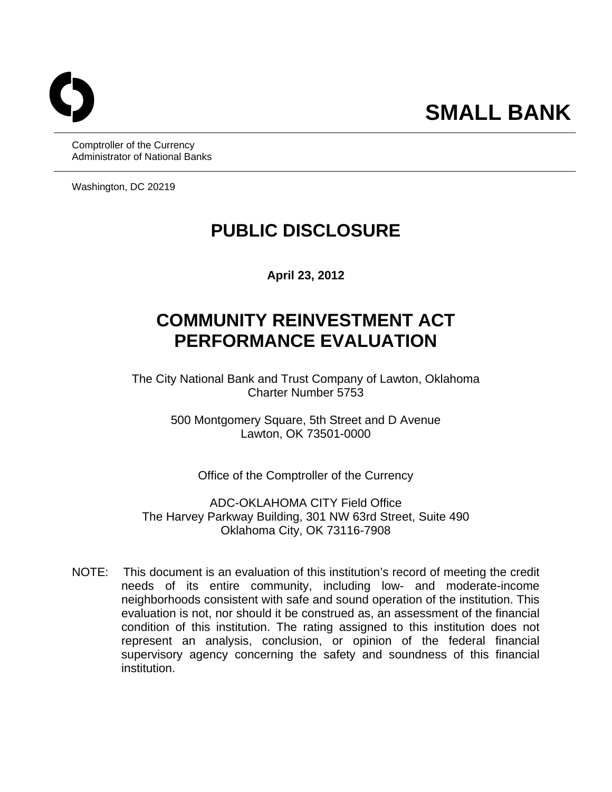Comptroller of the Currency Administrator of National Banks

Washington, DC 20219

# **PUBLIC DISCLOSURE**

**April 23, 2012** 

# **COMMUNITY REINVESTMENT ACT PERFORMANCE EVALUATION**

The City National Bank and Trust Company of Lawton, Oklahoma Charter Number 5753

> 500 Montgomery Square, 5th Street and D Avenue Lawton, OK 73501-0000

Office of the Comptroller of the Currency

ADC-OKLAHOMA CITY Field Office The Harvey Parkway Building, 301 NW 63rd Street, Suite 490 Oklahoma City, OK 73116-7908

 NOTE: This document is an evaluation of this institution's record of meeting the credit needs of its entire community, including low- and moderate-income neighborhoods consistent with safe and sound operation of the institution. This evaluation is not, nor should it be construed as, an assessment of the financial condition of this institution. The rating assigned to this institution does not represent an analysis, conclusion, or opinion of the federal financial supervisory agency concerning the safety and soundness of this financial institution.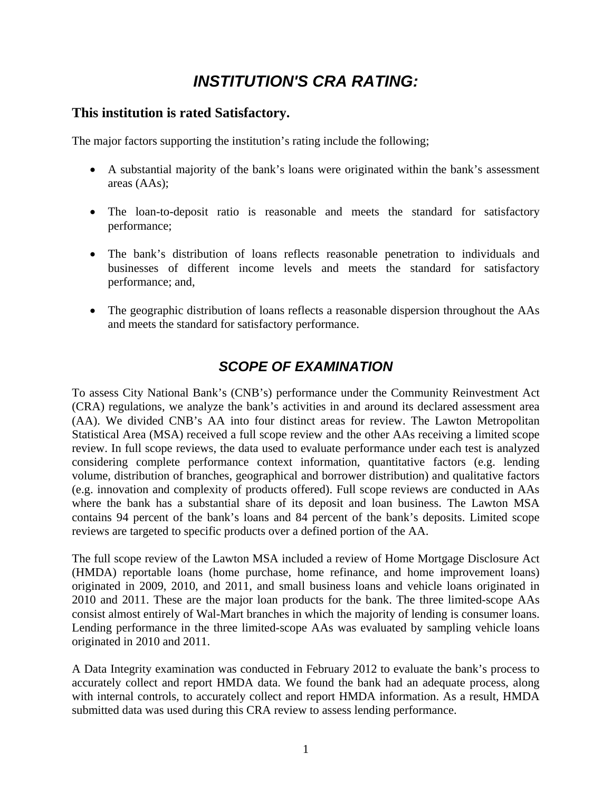### *INSTITUTION'S CRA RATING:*

### **This institution is rated Satisfactory.**

The major factors supporting the institution's rating include the following;

- A substantial majority of the bank's loans were originated within the bank's assessment areas (AAs);
- The loan-to-deposit ratio is reasonable and meets the standard for satisfactory performance;
- The bank's distribution of loans reflects reasonable penetration to individuals and businesses of different income levels and meets the standard for satisfactory performance; and,
- The geographic distribution of loans reflects a reasonable dispersion throughout the AAs and meets the standard for satisfactory performance.

### *SCOPE OF EXAMINATION*

To assess City National Bank's (CNB's) performance under the Community Reinvestment Act (CRA) regulations, we analyze the bank's activities in and around its declared assessment area (AA). We divided CNB's AA into four distinct areas for review. The Lawton Metropolitan Statistical Area (MSA) received a full scope review and the other AAs receiving a limited scope review. In full scope reviews, the data used to evaluate performance under each test is analyzed considering complete performance context information, quantitative factors (e.g. lending volume, distribution of branches, geographical and borrower distribution) and qualitative factors (e.g. innovation and complexity of products offered). Full scope reviews are conducted in AAs where the bank has a substantial share of its deposit and loan business. The Lawton MSA contains 94 percent of the bank's loans and 84 percent of the bank's deposits. Limited scope reviews are targeted to specific products over a defined portion of the AA.

The full scope review of the Lawton MSA included a review of Home Mortgage Disclosure Act (HMDA) reportable loans (home purchase, home refinance, and home improvement loans) originated in 2009, 2010, and 2011, and small business loans and vehicle loans originated in 2010 and 2011. These are the major loan products for the bank. The three limited-scope AAs consist almost entirely of Wal-Mart branches in which the majority of lending is consumer loans. Lending performance in the three limited-scope AAs was evaluated by sampling vehicle loans originated in 2010 and 2011.

A Data Integrity examination was conducted in February 2012 to evaluate the bank's process to accurately collect and report HMDA data. We found the bank had an adequate process, along with internal controls, to accurately collect and report HMDA information. As a result, HMDA submitted data was used during this CRA review to assess lending performance.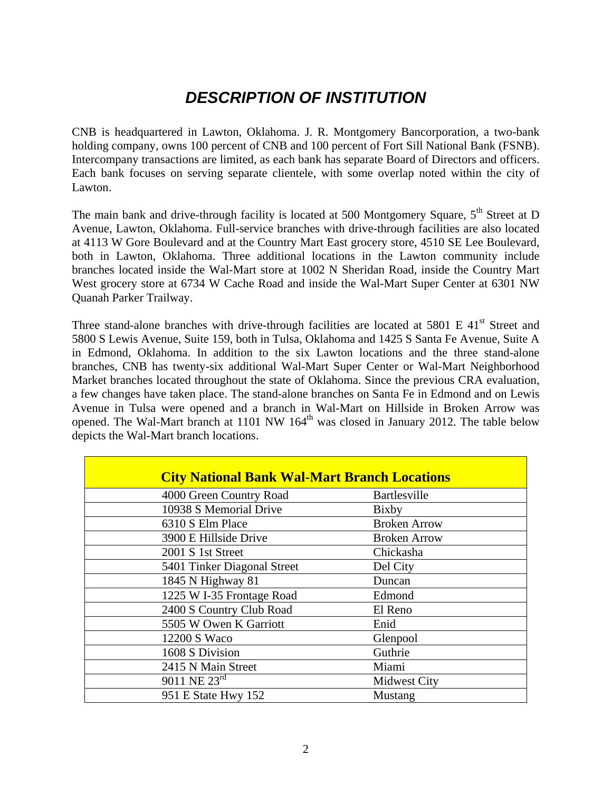## *DESCRIPTION OF INSTITUTION*

CNB is headquartered in Lawton, Oklahoma. J. R. Montgomery Bancorporation, a two-bank holding company, owns 100 percent of CNB and 100 percent of Fort Sill National Bank (FSNB). Intercompany transactions are limited, as each bank has separate Board of Directors and officers. Each bank focuses on serving separate clientele, with some overlap noted within the city of Lawton.

The main bank and drive-through facility is located at 500 Montgomery Square,  $5<sup>th</sup>$  Street at D Avenue, Lawton, Oklahoma. Full-service branches with drive-through facilities are also located at 4113 W Gore Boulevard and at the Country Mart East grocery store, 4510 SE Lee Boulevard, both in Lawton, Oklahoma. Three additional locations in the Lawton community include branches located inside the Wal-Mart store at 1002 N Sheridan Road, inside the Country Mart West grocery store at 6734 W Cache Road and inside the Wal-Mart Super Center at 6301 NW Quanah Parker Trailway.

Three stand-alone branches with drive-through facilities are located at 5801 E 41<sup>st</sup> Street and 5800 S Lewis Avenue, Suite 159, both in Tulsa, Oklahoma and 1425 S Santa Fe Avenue, Suite A in Edmond, Oklahoma. In addition to the six Lawton locations and the three stand-alone branches, CNB has twenty-six additional Wal-Mart Super Center or Wal-Mart Neighborhood Market branches located throughout the state of Oklahoma. Since the previous CRA evaluation, a few changes have taken place. The stand-alone branches on Santa Fe in Edmond and on Lewis Avenue in Tulsa were opened and a branch in Wal-Mart on Hillside in Broken Arrow was opened. The Wal-Mart branch at 1101 NW  $164<sup>th</sup>$  was closed in January 2012. The table below depicts the Wal-Mart branch locations.

| <b>City National Bank Wal-Mart Branch Locations</b> |                     |
|-----------------------------------------------------|---------------------|
| 4000 Green Country Road                             | Bartlesville        |
| 10938 S Memorial Drive                              | Bixby               |
| 6310 S Elm Place                                    | <b>Broken Arrow</b> |
| 3900 E Hillside Drive                               | <b>Broken Arrow</b> |
| 2001 S 1st Street                                   | Chickasha           |
| 5401 Tinker Diagonal Street                         | Del City            |
| 1845 N Highway 81                                   | Duncan              |
| 1225 W I-35 Frontage Road                           | Edmond              |
| 2400 S Country Club Road                            | El Reno             |
| 5505 W Owen K Garriott                              | Enid                |
| 12200 S Waco                                        | Glenpool            |
| 1608 S Division                                     | Guthrie             |
| 2415 N Main Street                                  | Miami               |
| $9011$ NE $23^{rd}$                                 | <b>Midwest City</b> |
| 951 E State Hwy 152                                 | Mustang             |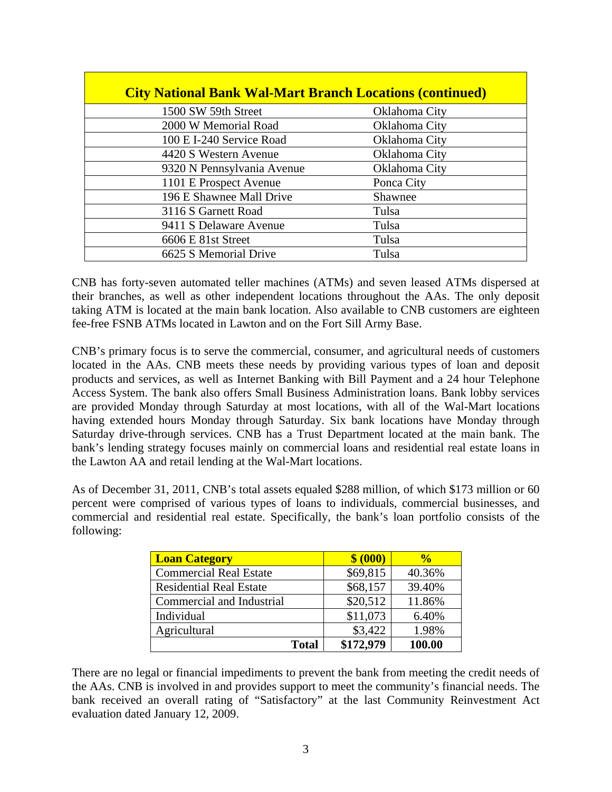| <b>City National Bank Wal-Mart Branch Locations (continued)</b> |               |
|-----------------------------------------------------------------|---------------|
| 1500 SW 59th Street                                             | Oklahoma City |
| 2000 W Memorial Road                                            | Oklahoma City |
| 100 E I-240 Service Road                                        | Oklahoma City |
| 4420 S Western Avenue                                           | Oklahoma City |
| 9320 N Pennsylvania Avenue                                      | Oklahoma City |
| 1101 E Prospect Avenue                                          | Ponca City    |
| 196 E Shawnee Mall Drive                                        | Shawnee       |
| 3116 S Garnett Road                                             | Tulsa         |
| 9411 S Delaware Avenue                                          | Tulsa         |
| 6606 E 81st Street                                              | Tulsa         |
| 6625 S Memorial Drive                                           | Tulsa         |

CNB has forty-seven automated teller machines (ATMs) and seven leased ATMs dispersed at their branches, as well as other independent locations throughout the AAs. The only deposit taking ATM is located at the main bank location. Also available to CNB customers are eighteen fee-free FSNB ATMs located in Lawton and on the Fort Sill Army Base.

CNB's primary focus is to serve the commercial, consumer, and agricultural needs of customers located in the AAs. CNB meets these needs by providing various types of loan and deposit products and services, as well as Internet Banking with Bill Payment and a 24 hour Telephone Access System. The bank also offers Small Business Administration loans. Bank lobby services are provided Monday through Saturday at most locations, with all of the Wal-Mart locations having extended hours Monday through Saturday. Six bank locations have Monday through Saturday drive-through services. CNB has a Trust Department located at the main bank. The bank's lending strategy focuses mainly on commercial loans and residential real estate loans in the Lawton AA and retail lending at the Wal-Mart locations.

As of December 31, 2011, CNB's total assets equaled \$288 million, of which \$173 million or 60 percent were comprised of various types of loans to individuals, commercial businesses, and commercial and residential real estate. Specifically, the bank's loan portfolio consists of the following:

| <b>Loan Category</b>           | \$ (000)  | $\frac{6}{10}$ |
|--------------------------------|-----------|----------------|
| <b>Commercial Real Estate</b>  | \$69,815  | 40.36%         |
| <b>Residential Real Estate</b> | \$68,157  | 39.40%         |
| Commercial and Industrial      | \$20,512  | 11.86%         |
| Individual                     | \$11,073  | 6.40%          |
| Agricultural                   | \$3,422   | 1.98%          |
| <b>Total</b>                   | \$172,979 | 100.00         |

There are no legal or financial impediments to prevent the bank from meeting the credit needs of the AAs. CNB is involved in and provides support to meet the community's financial needs. The bank received an overall rating of "Satisfactory" at the last Community Reinvestment Act evaluation dated January 12, 2009.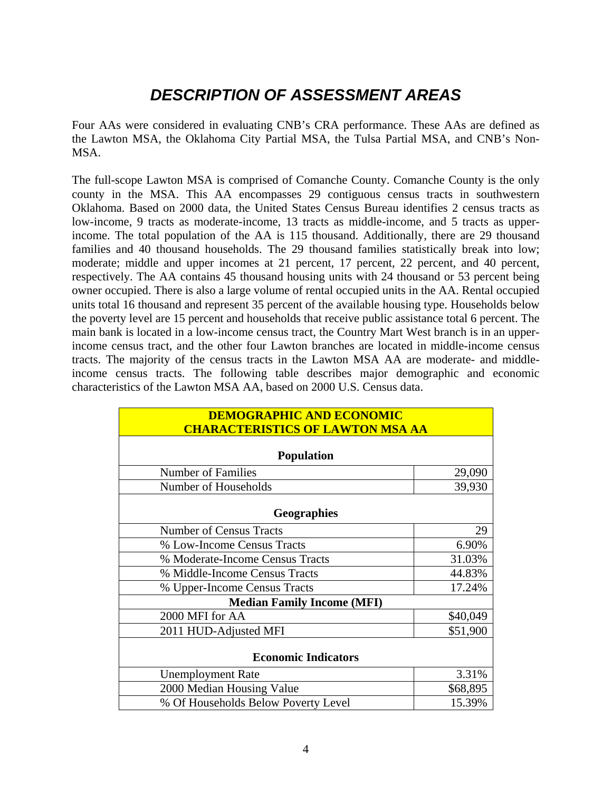## *DESCRIPTION OF ASSESSMENT AREAS*

Four AAs were considered in evaluating CNB's CRA performance. These AAs are defined as the Lawton MSA, the Oklahoma City Partial MSA, the Tulsa Partial MSA, and CNB's Non-MSA.

The full-scope Lawton MSA is comprised of Comanche County. Comanche County is the only county in the MSA. This AA encompasses 29 contiguous census tracts in southwestern Oklahoma. Based on 2000 data, the United States Census Bureau identifies 2 census tracts as low-income, 9 tracts as moderate-income, 13 tracts as middle-income, and 5 tracts as upperincome. The total population of the AA is 115 thousand. Additionally, there are 29 thousand families and 40 thousand households. The 29 thousand families statistically break into low; moderate; middle and upper incomes at 21 percent, 17 percent, 22 percent, and 40 percent, respectively. The AA contains 45 thousand housing units with 24 thousand or 53 percent being owner occupied. There is also a large volume of rental occupied units in the AA. Rental occupied units total 16 thousand and represent 35 percent of the available housing type. Households below the poverty level are 15 percent and households that receive public assistance total 6 percent. The main bank is located in a low-income census tract, the Country Mart West branch is in an upperincome census tract, and the other four Lawton branches are located in middle-income census tracts. The majority of the census tracts in the Lawton MSA AA are moderate- and middleincome census tracts. The following table describes major demographic and economic characteristics of the Lawton MSA AA, based on 2000 U.S. Census data.

| <b>DEMOGRAPHIC AND ECONOMIC</b>         |          |  |  |  |  |  |  |  |  |
|-----------------------------------------|----------|--|--|--|--|--|--|--|--|
| <b>CHARACTERISTICS OF LAWTON MSA AA</b> |          |  |  |  |  |  |  |  |  |
|                                         |          |  |  |  |  |  |  |  |  |
| <b>Population</b>                       |          |  |  |  |  |  |  |  |  |
| <b>Number of Families</b>               | 29,090   |  |  |  |  |  |  |  |  |
| Number of Households                    | 39,930   |  |  |  |  |  |  |  |  |
| <b>Geographies</b>                      |          |  |  |  |  |  |  |  |  |
| <b>Number of Census Tracts</b>          | 29       |  |  |  |  |  |  |  |  |
| % Low-Income Census Tracts              | 6.90%    |  |  |  |  |  |  |  |  |
| % Moderate-Income Census Tracts         | 31.03%   |  |  |  |  |  |  |  |  |
| % Middle-Income Census Tracts           | 44.83%   |  |  |  |  |  |  |  |  |
| % Upper-Income Census Tracts            | 17.24%   |  |  |  |  |  |  |  |  |
| <b>Median Family Income (MFI)</b>       |          |  |  |  |  |  |  |  |  |
| 2000 MFI for AA                         | \$40,049 |  |  |  |  |  |  |  |  |
| 2011 HUD-Adjusted MFI                   | \$51,900 |  |  |  |  |  |  |  |  |
| <b>Economic Indicators</b>              |          |  |  |  |  |  |  |  |  |
| <b>Unemployment Rate</b>                | 3.31%    |  |  |  |  |  |  |  |  |
| 2000 Median Housing Value               | \$68,895 |  |  |  |  |  |  |  |  |
| % Of Households Below Poverty Level     | 15.39%   |  |  |  |  |  |  |  |  |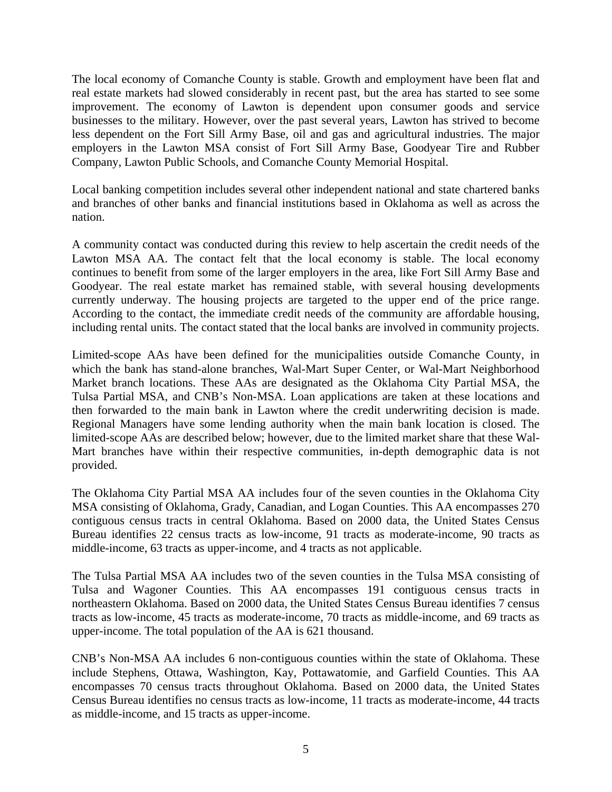The local economy of Comanche County is stable. Growth and employment have been flat and real estate markets had slowed considerably in recent past, but the area has started to see some improvement. The economy of Lawton is dependent upon consumer goods and service businesses to the military. However, over the past several years, Lawton has strived to become less dependent on the Fort Sill Army Base, oil and gas and agricultural industries. The major employers in the Lawton MSA consist of Fort Sill Army Base, Goodyear Tire and Rubber Company, Lawton Public Schools, and Comanche County Memorial Hospital.

Local banking competition includes several other independent national and state chartered banks and branches of other banks and financial institutions based in Oklahoma as well as across the nation.

A community contact was conducted during this review to help ascertain the credit needs of the Lawton MSA AA. The contact felt that the local economy is stable. The local economy continues to benefit from some of the larger employers in the area, like Fort Sill Army Base and Goodyear. The real estate market has remained stable, with several housing developments currently underway. The housing projects are targeted to the upper end of the price range. According to the contact, the immediate credit needs of the community are affordable housing, including rental units. The contact stated that the local banks are involved in community projects.

Limited-scope AAs have been defined for the municipalities outside Comanche County, in which the bank has stand-alone branches, Wal-Mart Super Center, or Wal-Mart Neighborhood Market branch locations. These AAs are designated as the Oklahoma City Partial MSA, the Tulsa Partial MSA, and CNB's Non-MSA. Loan applications are taken at these locations and then forwarded to the main bank in Lawton where the credit underwriting decision is made. Regional Managers have some lending authority when the main bank location is closed. The limited-scope AAs are described below; however, due to the limited market share that these Wal-Mart branches have within their respective communities, in-depth demographic data is not provided.

The Oklahoma City Partial MSA AA includes four of the seven counties in the Oklahoma City MSA consisting of Oklahoma, Grady, Canadian, and Logan Counties. This AA encompasses 270 contiguous census tracts in central Oklahoma. Based on 2000 data, the United States Census Bureau identifies 22 census tracts as low-income, 91 tracts as moderate-income, 90 tracts as middle-income, 63 tracts as upper-income, and 4 tracts as not applicable.

The Tulsa Partial MSA AA includes two of the seven counties in the Tulsa MSA consisting of Tulsa and Wagoner Counties. This AA encompasses 191 contiguous census tracts in northeastern Oklahoma. Based on 2000 data, the United States Census Bureau identifies 7 census tracts as low-income, 45 tracts as moderate-income, 70 tracts as middle-income, and 69 tracts as upper-income. The total population of the AA is 621 thousand.

as middle-income, and 15 tracts as upper-income.<br>5 CNB's Non-MSA AA includes 6 non-contiguous counties within the state of Oklahoma. These include Stephens, Ottawa, Washington, Kay, Pottawatomie, and Garfield Counties. This AA encompasses 70 census tracts throughout Oklahoma. Based on 2000 data, the United States Census Bureau identifies no census tracts as low-income, 11 tracts as moderate-income, 44 tracts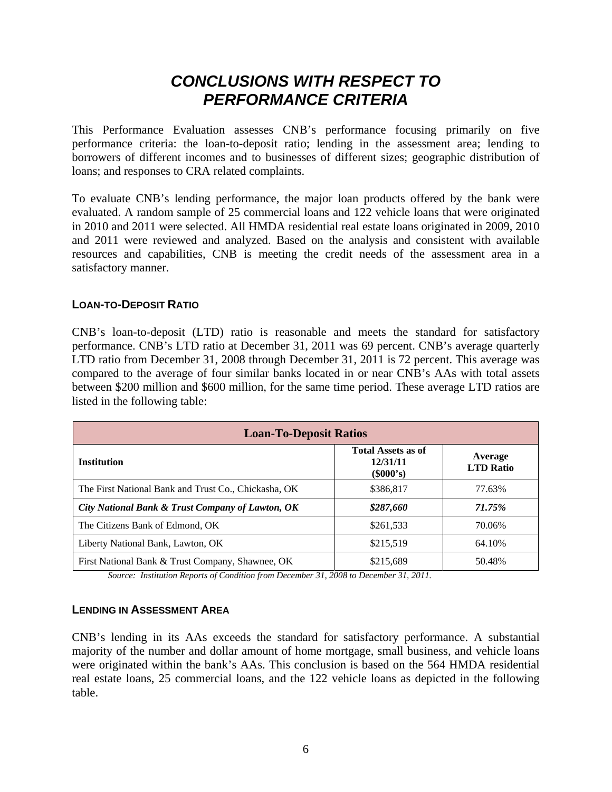### *CONCLUSIONS WITH RESPECT TO PERFORMANCE CRITERIA*

This Performance Evaluation assesses CNB's performance focusing primarily on five performance criteria: the loan-to-deposit ratio; lending in the assessment area; lending to borrowers of different incomes and to businesses of different sizes; geographic distribution of loans; and responses to CRA related complaints.

To evaluate CNB's lending performance, the major loan products offered by the bank were evaluated. A random sample of 25 commercial loans and 122 vehicle loans that were originated in 2010 and 2011 were selected. All HMDA residential real estate loans originated in 2009, 2010 and 2011 were reviewed and analyzed. Based on the analysis and consistent with available resources and capabilities, CNB is meeting the credit needs of the assessment area in a satisfactory manner.

#### **LOAN-TO-DEPOSIT RATIO**

CNB's loan-to-deposit (LTD) ratio is reasonable and meets the standard for satisfactory performance. CNB's LTD ratio at December 31, 2011 was 69 percent. CNB's average quarterly LTD ratio from December 31, 2008 through December 31, 2011 is 72 percent. This average was compared to the average of four similar banks located in or near CNB's AAs with total assets between \$200 million and \$600 million, for the same time period. These average LTD ratios are listed in the following table:

| <b>Loan-To-Deposit Ratios</b>                        |                                                      |                             |  |  |  |  |  |  |  |  |
|------------------------------------------------------|------------------------------------------------------|-----------------------------|--|--|--|--|--|--|--|--|
| <b>Institution</b>                                   | <b>Total Assets as of</b><br>12/31/11<br>$(\$000's)$ | Average<br><b>LTD Ratio</b> |  |  |  |  |  |  |  |  |
| The First National Bank and Trust Co., Chickasha, OK | \$386,817                                            | 77.63%                      |  |  |  |  |  |  |  |  |
| City National Bank & Trust Company of Lawton, OK     | \$287,660                                            | 71.75%                      |  |  |  |  |  |  |  |  |
| The Citizens Bank of Edmond, OK                      | \$261,533                                            | 70.06%                      |  |  |  |  |  |  |  |  |
| Liberty National Bank, Lawton, OK                    | \$215,519                                            | 64.10%                      |  |  |  |  |  |  |  |  |
| First National Bank & Trust Company, Shawnee, OK     | \$215,689                                            | 50.48%                      |  |  |  |  |  |  |  |  |

*Source: Institution Reports of Condition from December 31, 2008 to December 31, 2011.* 

#### **LENDING IN ASSESSMENT AREA**

CNB's lending in its AAs exceeds the standard for satisfactory performance. A substantial majority of the number and dollar amount of home mortgage, small business, and vehicle loans were originated within the bank's AAs. This conclusion is based on the 564 HMDA residential real estate loans, 25 commercial loans, and the 122 vehicle loans as depicted in the following table.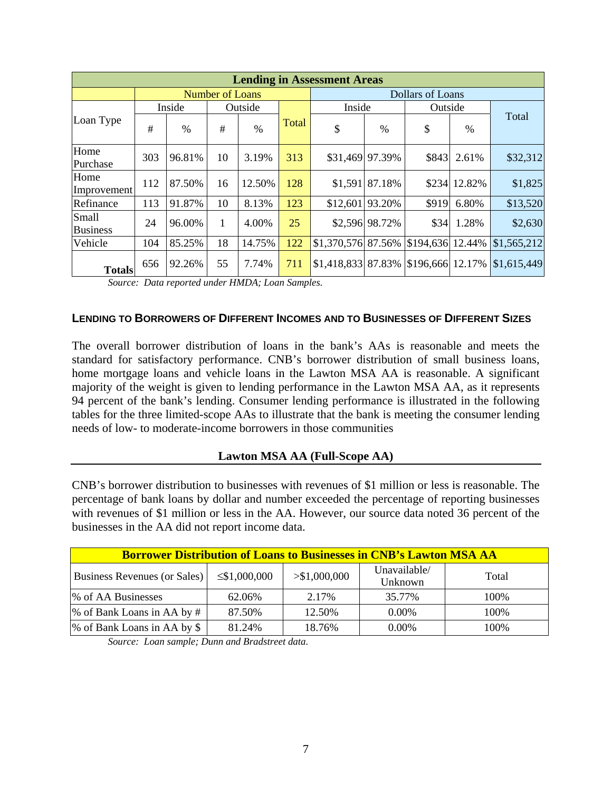|                                 | <b>Lending in Assessment Areas</b> |        |                        |         |       |                     |                 |                  |              |             |  |  |  |  |
|---------------------------------|------------------------------------|--------|------------------------|---------|-------|---------------------|-----------------|------------------|--------------|-------------|--|--|--|--|
|                                 |                                    |        | <b>Number of Loans</b> |         |       |                     |                 | Dollars of Loans |              |             |  |  |  |  |
|                                 |                                    | Inside |                        | Outside |       | Inside              |                 | Outside          |              |             |  |  |  |  |
| Loan Type                       | #                                  | $\%$   | #                      | $\%$    | Total | \$                  | $\%$            | \$               | %            | Total       |  |  |  |  |
| Home<br>Purchase                | 303                                | 96.81% | 10                     | 3.19%   | 313   |                     | \$31,469 97.39% | \$843            | 2.61%        | \$32,312    |  |  |  |  |
| Home<br>Improvement             | 112                                | 87.50% | 16                     | 12.50%  | 128   |                     | \$1,591 87.18%  |                  | \$234 12.82% | \$1,825     |  |  |  |  |
| Refinance                       | 113                                | 91.87% | 10                     | 8.13%   | 123   | \$12,601 93.20%     |                 | \$919            | 6.80%        | \$13,520    |  |  |  |  |
| <b>Small</b><br><b>Business</b> | 24                                 | 96.00% | 1                      | 4.00%   | 25    |                     | \$2,596 98.72%  | \$34             | 1.28%        | \$2,630     |  |  |  |  |
| Vehicle                         | 104                                | 85.25% | 18                     | 14.75%  | 122   | \$1,370,576 87.56%  |                 | \$194,636 12.44% |              | \$1,565,212 |  |  |  |  |
| <b>Totals</b>                   | 656                                | 92.26% | 55                     | 7.74%   | 711   | $$1,418,833$ 87.83% |                 | \$196,666 12.17% |              | \$1,615,449 |  |  |  |  |

 *Source: Data reported under HMDA; Loan Samples.* 

#### **LENDING TO BORROWERS OF DIFFERENT INCOMES AND TO BUSINESSES OF DIFFERENT SIZES**

The overall borrower distribution of loans in the bank's AAs is reasonable and meets the standard for satisfactory performance. CNB's borrower distribution of small business loans, home mortgage loans and vehicle loans in the Lawton MSA AA is reasonable. A significant majority of the weight is given to lending performance in the Lawton MSA AA, as it represents 94 percent of the bank's lending. Consumer lending performance is illustrated in the following tables for the three limited-scope AAs to illustrate that the bank is meeting the consumer lending needs of low- to moderate-income borrowers in those communities

#### **Lawton MSA AA (Full-Scope AA)**

CNB's borrower distribution to businesses with revenues of \$1 million or less is reasonable. The percentage of bank loans by dollar and number exceeded the percentage of reporting businesses with revenues of \$1 million or less in the AA. However, our source data noted 36 percent of the businesses in the AA did not report income data.

| <b>Borrower Distribution of Loans to Businesses in CNB's Lawton MSA AA</b> |                    |               |                         |       |  |  |  |  |  |  |  |  |
|----------------------------------------------------------------------------|--------------------|---------------|-------------------------|-------|--|--|--|--|--|--|--|--|
| Business Revenues (or Sales)                                               | $\leq$ \$1,000,000 | > \$1,000,000 | Unavailable/<br>Unknown | Total |  |  |  |  |  |  |  |  |
| % of AA Businesses                                                         | 62.06%             | 2.17%         | 35.77%                  | 100%  |  |  |  |  |  |  |  |  |
| % of Bank Loans in AA by #                                                 | 87.50%             | 12.50%        | $0.00\%$                | 100\% |  |  |  |  |  |  |  |  |
| % of Bank Loans in AA by \$                                                | 81.24%             | 18.76%        | $0.00\%$                | 100\% |  |  |  |  |  |  |  |  |

 *Source: Loan sample; Dunn and Bradstreet data.*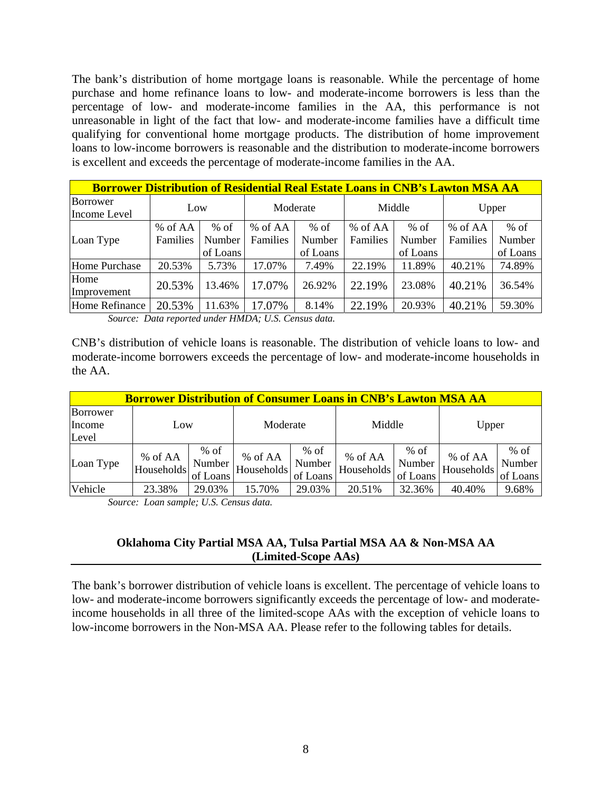The bank's distribution of home mortgage loans is reasonable. While the percentage of home purchase and home refinance loans to low- and moderate-income borrowers is less than the percentage of low- and moderate-income families in the AA, this performance is not unreasonable in light of the fact that low- and moderate-income families have a difficult time qualifying for conventional home mortgage products. The distribution of home improvement loans to low-income borrowers is reasonable and the distribution to moderate-income borrowers is excellent and exceeds the percentage of moderate-income families in the AA.

| <b>Borrower Distribution of Residential Real Estate Loans in CNB's Lawton MSA AA</b> |          |          |          |          |          |          |          |          |  |  |  |  |
|--------------------------------------------------------------------------------------|----------|----------|----------|----------|----------|----------|----------|----------|--|--|--|--|
| Borrower<br>Income Level                                                             | Low      |          |          | Moderate |          | Middle   | Upper    |          |  |  |  |  |
|                                                                                      | % of AA  | $%$ of   | % of AA  | $%$ of   | % of AA  | $%$ of   | % of AA  | $%$ of   |  |  |  |  |
| Loan Type                                                                            | Families | Number   | Families | Number   | Families | Number   | Families | Number   |  |  |  |  |
|                                                                                      |          | of Loans |          | of Loans |          | of Loans |          | of Loans |  |  |  |  |
| Home Purchase                                                                        | 20.53%   | 5.73%    | 17.07%   | 7.49%    | 22.19%   | 11.89%   | 40.21%   | 74.89%   |  |  |  |  |
| Home<br>Improvement                                                                  | 20.53%   | 13.46%   | 17.07%   | 26.92%   | 22.19%   | 23.08%   | 40.21%   | 36.54%   |  |  |  |  |
| Home Refinance                                                                       | 20.53%   | 11.63%   | 17.07%   | 8.14%    | 22.19%   | 20.93%   | 40.21%   | 59.30%   |  |  |  |  |

 *Source: Data reported under HMDA; U.S. Census data.* 

CNB's distribution of vehicle loans is reasonable. The distribution of vehicle loans to low- and moderate-income borrowers exceeds the percentage of low- and moderate-income households in the AA.

|                             | <b>Borrower Distribution of Consumer Loans in CNB's Lawton MSA AA</b> |                              |                       |                              |                       |                              |                       |                              |  |  |  |  |
|-----------------------------|-----------------------------------------------------------------------|------------------------------|-----------------------|------------------------------|-----------------------|------------------------------|-----------------------|------------------------------|--|--|--|--|
| Borrower<br>Income<br>Level | Low                                                                   |                              |                       | Moderate                     |                       | Middle                       |                       | Upper                        |  |  |  |  |
| Loan Type                   | % of AA<br>Households                                                 | $%$ of<br>Number<br>of Loans | % of AA<br>Households | $%$ of<br>Number<br>of Loans | % of AA<br>Households | $%$ of<br>Number<br>of Loans | % of AA<br>Households | $%$ of<br>Number<br>of Loans |  |  |  |  |
| Vehicle                     | 23.38%                                                                | 29.03%                       | 15.70%                | 29.03%                       | 20.51%                | 32.36%                       | 40.40%                | 9.68%                        |  |  |  |  |

*Source: Loan sample; U.S. Census data.* 

#### **Oklahoma City Partial MSA AA, Tulsa Partial MSA AA & Non-MSA AA (Limited-Scope AAs)**

The bank's borrower distribution of vehicle loans is excellent. The percentage of vehicle loans to low- and moderate-income borrowers significantly exceeds the percentage of low- and moderateincome households in all three of the limited-scope AAs with the exception of vehicle loans to low-income borrowers in the Non-MSA AA. Please refer to the following tables for details.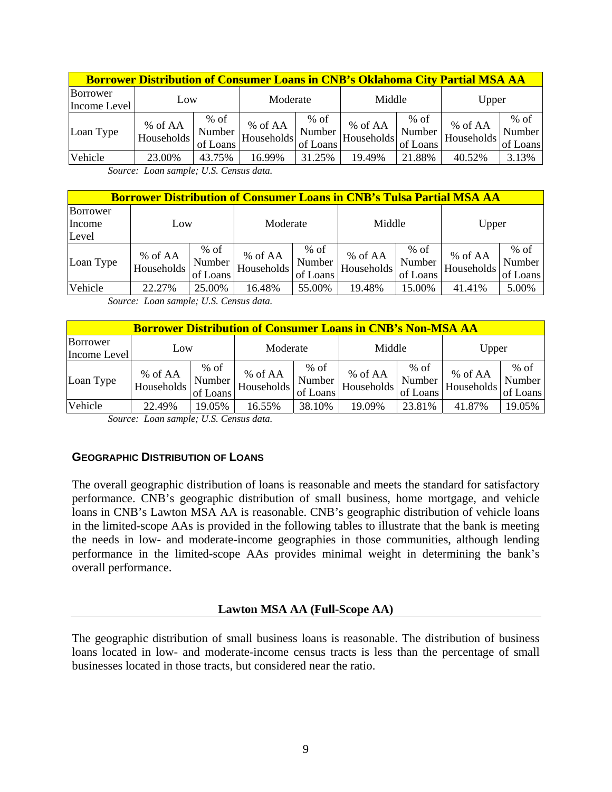| <b>Borrower Distribution of Consumer Loans in CNB's Oklahoma City Partial MSA AA</b> |                       |                              |                       |                              |                       |                              |                       |                              |  |  |  |
|--------------------------------------------------------------------------------------|-----------------------|------------------------------|-----------------------|------------------------------|-----------------------|------------------------------|-----------------------|------------------------------|--|--|--|
| Borrower<br>Income Level                                                             | Low                   |                              | Moderate              |                              | Middle                |                              | Upper                 |                              |  |  |  |
| Loan Type                                                                            | % of AA<br>Households | $%$ of<br>Number<br>of Loans | % of AA<br>Households | $%$ of<br>Number<br>of Loans | % of AA<br>Households | $%$ of<br>Number<br>of Loans | % of AA<br>Households | $%$ of<br>Number<br>of Loans |  |  |  |
| <b>Vehicle</b>                                                                       | 23.00%                | 43.75%                       | 16.99%                | 31.25%                       | 19.49%                | 21.88%                       | 40.52%                | 3.13%                        |  |  |  |

*Source: Loan sample; U.S. Census data.* 

|                             | <b>Borrower Distribution of Consumer Loans in CNB's Tulsa Partial MSA AA</b> |                              |                       |                              |                       |                              |                       |                              |  |  |  |  |
|-----------------------------|------------------------------------------------------------------------------|------------------------------|-----------------------|------------------------------|-----------------------|------------------------------|-----------------------|------------------------------|--|--|--|--|
| Borrower<br>Income<br>Level | LOW                                                                          |                              | Moderate              |                              | Middle                |                              | Upper                 |                              |  |  |  |  |
| Loan Type                   | % of AA<br>Households                                                        | $%$ of<br>Number<br>of Loans | % of AA<br>Households | $%$ of<br>Number<br>of Loans | % of AA<br>Households | $%$ of<br>Number<br>of Loans | % of AA<br>Households | $%$ of<br>Number<br>of Loans |  |  |  |  |
| Vehicle                     | 22.27%                                                                       | 25.00%                       | 16.48%                | 55.00%                       | 19.48%                | 15.00%                       | 41.41%                | 5.00%                        |  |  |  |  |

*Source: Loan sample; U.S. Census data.* 

|                          | <b>Borrower Distribution of Consumer Loans in CNB's Non-MSA AA</b> |                              |                       |                              |                       |                              |                       |                              |  |  |  |  |  |
|--------------------------|--------------------------------------------------------------------|------------------------------|-----------------------|------------------------------|-----------------------|------------------------------|-----------------------|------------------------------|--|--|--|--|--|
| Borrower<br>Income Level | Low                                                                |                              | Moderate              |                              | Middle                |                              | Upper                 |                              |  |  |  |  |  |
| Loan Type                | % of AA<br>Households                                              | $%$ of<br>Number<br>of Loans | % of AA<br>Households | $%$ of<br>Number<br>of Loans | % of AA<br>Households | $%$ of<br>Number<br>of Loans | % of AA<br>Households | $%$ of<br>Number<br>of Loans |  |  |  |  |  |
| Vehicle                  | 22.49%                                                             | 19.05%                       | 16.55%                | 38.10%                       | 19.09%                | 23.81%                       | 41.87%                | 19.05%                       |  |  |  |  |  |

*Source: Loan sample; U.S. Census data.* 

#### **GEOGRAPHIC DISTRIBUTION OF LOANS**

The overall geographic distribution of loans is reasonable and meets the standard for satisfactory performance. CNB's geographic distribution of small business, home mortgage, and vehicle loans in CNB's Lawton MSA AA is reasonable. CNB's geographic distribution of vehicle loans in the limited-scope AAs is provided in the following tables to illustrate that the bank is meeting the needs in low- and moderate-income geographies in those communities, although lending performance in the limited-scope AAs provides minimal weight in determining the bank's overall performance.

#### **Lawton MSA AA (Full-Scope AA)**

The geographic distribution of small business loans is reasonable. The distribution of business loans located in low- and moderate-income census tracts is less than the percentage of small businesses located in those tracts, but considered near the ratio.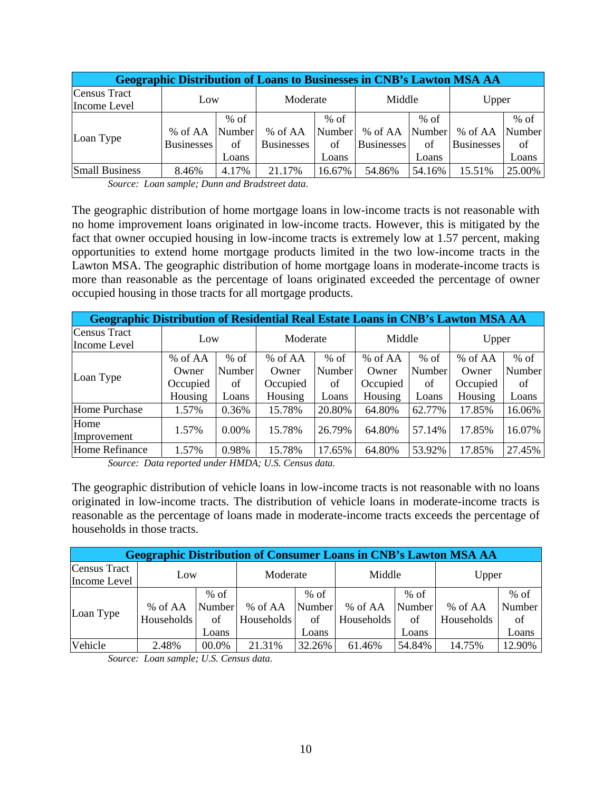| <b>Geographic Distribution of Loans to Businesses in CNB's Lawton MSA AA</b> |                              |                                 |                              |                                 |                                     |                       |                              |                                 |  |  |  |
|------------------------------------------------------------------------------|------------------------------|---------------------------------|------------------------------|---------------------------------|-------------------------------------|-----------------------|------------------------------|---------------------------------|--|--|--|
| Census Tract<br>Income Level                                                 | Low                          |                                 | Moderate                     |                                 | Middle                              |                       | Upper                        |                                 |  |  |  |
| Loan Type                                                                    | % of AA<br><b>Businesses</b> | $%$ of<br>Number<br>of<br>Loans | % of AA<br><b>Businesses</b> | $%$ of<br>Number<br>of<br>Loans | % of AA Number<br><b>Businesses</b> | $%$ of<br>of<br>Loans | % of AA<br><b>Businesses</b> | $%$ of<br>Number<br>of<br>Loans |  |  |  |
| <b>Small Business</b>                                                        | 8.46%                        | 4.17%                           | 21.17%                       | 16.67%                          | 54.86%                              | 54.16%                | 15.51%                       | 25.00%                          |  |  |  |

 *Source: Loan sample; Dunn and Bradstreet data.* 

The geographic distribution of home mortgage loans in low-income tracts is not reasonable with no home improvement loans originated in low-income tracts. However, this is mitigated by the fact that owner occupied housing in low-income tracts is extremely low at 1.57 percent, making opportunities to extend home mortgage products limited in the two low-income tracts in the Lawton MSA. The geographic distribution of home mortgage loans in moderate-income tracts is more than reasonable as the percentage of loans originated exceeded the percentage of owner occupied housing in those tracts for all mortgage products.

| <b>Geographic Distribution of Residential Real Estate Loans in CNB's Lawton MSA AA</b> |          |        |          |        |          |        |          |        |  |  |  |
|----------------------------------------------------------------------------------------|----------|--------|----------|--------|----------|--------|----------|--------|--|--|--|
| Census Tract                                                                           |          |        | Moderate |        | Middle   |        | Upper    |        |  |  |  |
| Income Level                                                                           |          | Low    |          |        |          |        |          |        |  |  |  |
|                                                                                        | % of AA  | $%$ of | % of AA  | $%$ of | % of AA  | $%$ of | % of AA  | $%$ of |  |  |  |
|                                                                                        | Owner    | Number | Owner    | Number | Owner    | Number | Owner    | Number |  |  |  |
| Loan Type                                                                              | Occupied | of     | Occupied | of     | Occupied | of     | Occupied | of     |  |  |  |
|                                                                                        | Housing  | Loans  | Housing  | Loans  | Housing  | Loans  | Housing  | Loans  |  |  |  |
| Home Purchase                                                                          | 1.57%    | 0.36%  | 15.78%   | 20.80% | 64.80%   | 62.77% | 17.85%   | 16.06% |  |  |  |
| Home                                                                                   | 1.57%    | 0.00%  | 15.78%   | 26.79% | 64.80%   | 57.14% | 17.85%   | 16.07% |  |  |  |
| Improvement                                                                            |          |        |          |        |          |        |          |        |  |  |  |
| Home Refinance                                                                         | 1.57%    | 0.98%  | 15.78%   | 17.65% | 64.80%   | 53.92% | 17.85%   | 27.45% |  |  |  |

 *Source: Data reported under HMDA; U.S. Census data.* 

The geographic distribution of vehicle loans in low-income tracts is not reasonable with no loans originated in low-income tracts. The distribution of vehicle loans in moderate-income tracts is reasonable as the percentage of loans made in moderate-income tracts exceeds the percentage of households in those tracts.

| <b>Geographic Distribution of Consumer Loans in CNB's Lawton MSA AA</b> |            |        |            |        |            |        |            |        |  |  |
|-------------------------------------------------------------------------|------------|--------|------------|--------|------------|--------|------------|--------|--|--|
| Census Tract<br>Income Level                                            | Low        |        | Moderate   |        | Middle     |        | Upper      |        |  |  |
|                                                                         |            | $%$ of |            | $%$ of |            | $%$ of |            | $%$ of |  |  |
| Loan Type                                                               | % of AA    | Number | % of AA    | Number | % of AA    | Number | % of AA    | Number |  |  |
|                                                                         | Households | of     | Households | of     | Households | of     | Households | of     |  |  |
|                                                                         |            | Loans  |            | Loans  |            | Loans  |            | Loans  |  |  |
| Vehicle                                                                 | 2.48%      | 00.0%  | 21.31%     | 32.26% | 61.46%     | 54.84% | 14.75%     | 12.90% |  |  |

*Source: Loan sample; U.S. Census data.*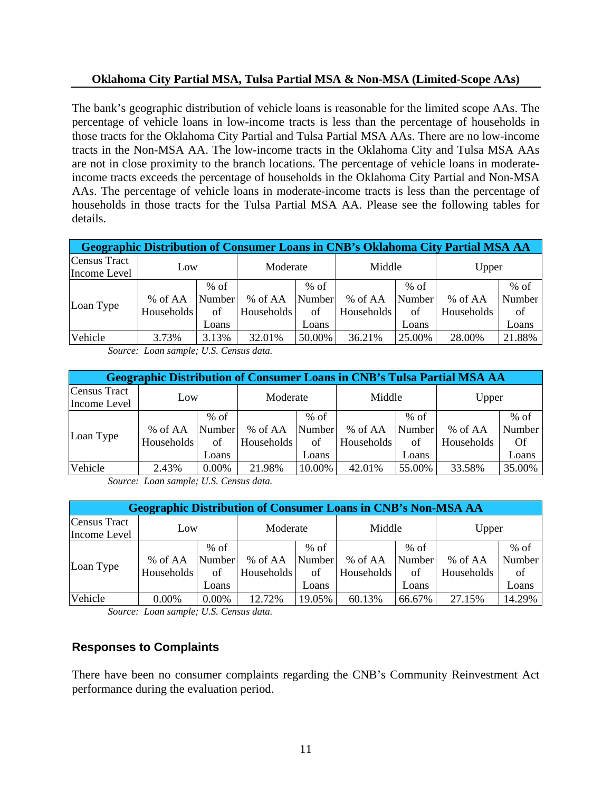#### **Oklahoma City Partial MSA, Tulsa Partial MSA & Non-MSA (Limited-Scope AAs)**

The bank's geographic distribution of vehicle loans is reasonable for the limited scope AAs. The percentage of vehicle loans in low-income tracts is less than the percentage of households in those tracts for the Oklahoma City Partial and Tulsa Partial MSA AAs. There are no low-income tracts in the Non-MSA AA. The low-income tracts in the Oklahoma City and Tulsa MSA AAs are not in close proximity to the branch locations. The percentage of vehicle loans in moderateincome tracts exceeds the percentage of households in the Oklahoma City Partial and Non-MSA AAs. The percentage of vehicle loans in moderate-income tracts is less than the percentage of households in those tracts for the Tulsa Partial MSA AA. Please see the following tables for details.

| <b>Geographic Distribution of Consumer Loans in CNB's Oklahoma City Partial MSA AA</b> |            |        |            |        |            |        |            |        |  |  |
|----------------------------------------------------------------------------------------|------------|--------|------------|--------|------------|--------|------------|--------|--|--|
| <b>Census Tract</b><br>Income Level                                                    | Low        |        | Moderate   |        | Middle     |        | Upper      |        |  |  |
|                                                                                        |            | $%$ of |            | $%$ of |            | $%$ of |            | $%$ of |  |  |
|                                                                                        | % of AA    | Number | % of AA    | Number | % of AA    | Number | % of AA    | Number |  |  |
| Loan Type                                                                              | Households | of     | Households | of     | Households | of     | Households | of     |  |  |
|                                                                                        |            | Loans  |            | Loans  |            | Loans  |            | Loans  |  |  |
| Vehicle                                                                                | 3.73%      | 3.13%  | 32.01%     | 50.00% | 36.21%     | 25.00% | 28.00%     | 21.88% |  |  |

*Source: Loan sample; U.S. Census data.* 

| <b>Geographic Distribution of Consumer Loans in CNB's Tulsa Partial MSA AA</b> |            |                  |            |                  |            |                  |            |                  |  |  |
|--------------------------------------------------------------------------------|------------|------------------|------------|------------------|------------|------------------|------------|------------------|--|--|
| <b>Census Tract</b><br>Income Level                                            | Low        |                  | Moderate   |                  | Middle     |                  | Upper      |                  |  |  |
| Loan Type                                                                      | % of AA    | $%$ of<br>Number | % of AA    | $%$ of<br>Number | % of AA    | $%$ of<br>Number | % of AA    | $%$ of<br>Number |  |  |
|                                                                                | Households | of<br>Loans      | Households | of<br>Loans      | Households | of<br>Loans      | Households | Of<br>Loans      |  |  |
| Vehicle                                                                        | 2.43%      | 0.00%            | 21.98%     | 10.00%           | 42.01%     | 55.00%           | 33.58%     | 35.00%           |  |  |

*Source: Loan sample; U.S. Census data.* 

| <b>Geographic Distribution of Consumer Loans in CNB's Non-MSA AA</b> |                       |                                 |                       |                                 |                       |                                 |                       |                                 |  |  |  |
|----------------------------------------------------------------------|-----------------------|---------------------------------|-----------------------|---------------------------------|-----------------------|---------------------------------|-----------------------|---------------------------------|--|--|--|
| Census Tract<br>Income Level                                         | Low                   |                                 | Moderate              |                                 | Middle                |                                 | Upper                 |                                 |  |  |  |
| Loan Type                                                            | % of AA<br>Households | $%$ of<br>Number<br>of<br>Loans | % of AA<br>Households | $%$ of<br>Number<br>of<br>Loans | % of AA<br>Households | $%$ of<br>Number<br>of<br>Loans | % of AA<br>Households | $%$ of<br>Number<br>of<br>Loans |  |  |  |
| Vehicle                                                              | 0.00%                 | 0.00%                           | 12.72%                | 19.05%                          | 60.13%                | 66.67%                          | 27.15%                | 14.29%                          |  |  |  |

*Source: Loan sample; U.S. Census data.* 

### **Responses to Complaints**

There have been no consumer complaints regarding the CNB's Community Reinvestment Act performance during the evaluation period.